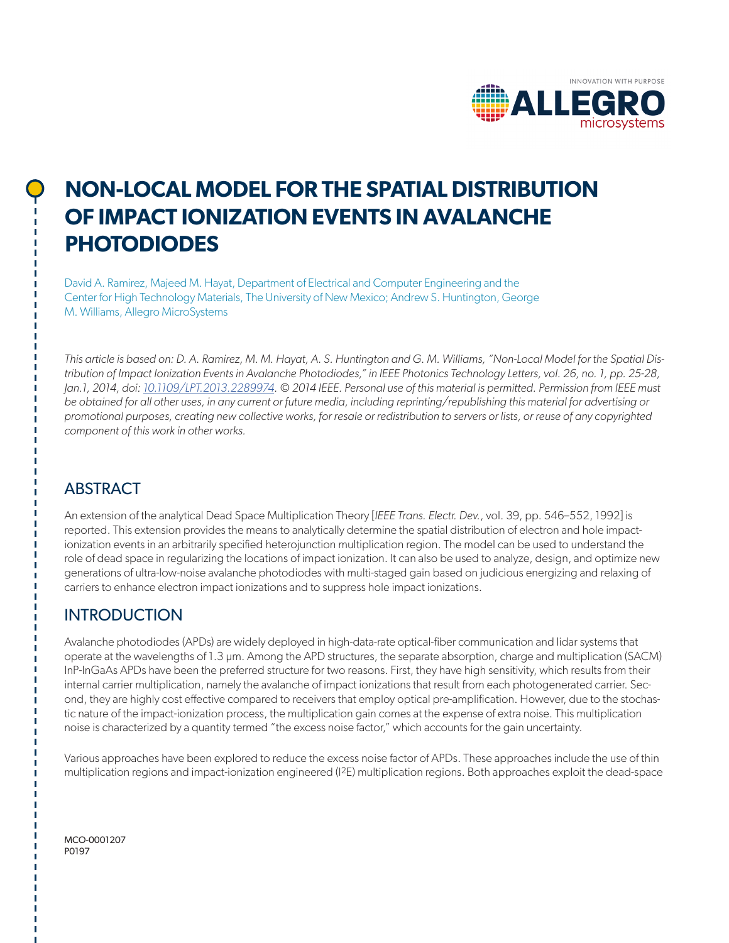

# **NON-LOCAL MODEL FOR THE SPATIAL DISTRIBUTION OF IMPACT IONIZATION EVENTS IN AVALANCHE PHOTODIODES**

David A. Ramirez, Majeed M. Hayat, Department of Electrical and Computer Engineering and the Center for High Technology Materials, The University of New Mexico; Andrew S. Huntington, George M. Williams, Allegro MicroSystems

*This article is based on: D. A. Ramirez, M. M. Hayat, A. S. Huntington and G. M. Williams, "Non-Local Model for the Spatial Distribution of Impact Ionization Events in Avalanche Photodiodes," in IEEE Photonics Technology Letters, vol. 26, no. 1, pp. 25-28, Jan.1, 2014, doi: [10.1109/LPT.2013.2289974](https://doi.org/10.1109/LPT.2013.2289974). © 2014 IEEE. Personal use of this material is permitted. Permission from IEEE must be obtained for all other uses, in any current or future media, including reprinting/republishing this material for advertising or promotional purposes, creating new collective works, for resale or redistribution to servers or lists, or reuse of any copyrighted component of this work in other works.*

## ABSTRACT

An extension of the analytical Dead Space Multiplication Theory [*IEEE Trans. Electr. Dev.*, vol. 39, pp. 546–552, 1992] is reported. This extension provides the means to analytically determine the spatial distribution of electron and hole impactionization events in an arbitrarily specified heterojunction multiplication region. The model can be used to understand the role of dead space in regularizing the locations of impact ionization. It can also be used to analyze, design, and optimize new generations of ultra-low-noise avalanche photodiodes with multi-staged gain based on judicious energizing and relaxing of carriers to enhance electron impact ionizations and to suppress hole impact ionizations.

# INTRODUCTION

Avalanche photodiodes (APDs) are widely deployed in high-data-rate optical-fiber communication and lidar systems that operate at the wavelengths of 1.3 µm. Among the APD structures, the separate absorption, charge and multiplication (SACM) InP-InGaAs APDs have been the preferred structure for two reasons. First, they have high sensitivity, which results from their internal carrier multiplication, namely the avalanche of impact ionizations that result from each photogenerated carrier. Second, they are highly cost effective compared to receivers that employ optical pre-amplification. However, due to the stochastic nature of the impact-ionization process, the multiplication gain comes at the expense of extra noise. This multiplication noise is characterized by a quantity termed "the excess noise factor," which accounts for the gain uncertainty.

Various approaches have been explored to reduce the excess noise factor of APDs. These approaches include the use of thin multiplication regions and impact-ionization engineered (I2E) multiplication regions. Both approaches exploit the dead-space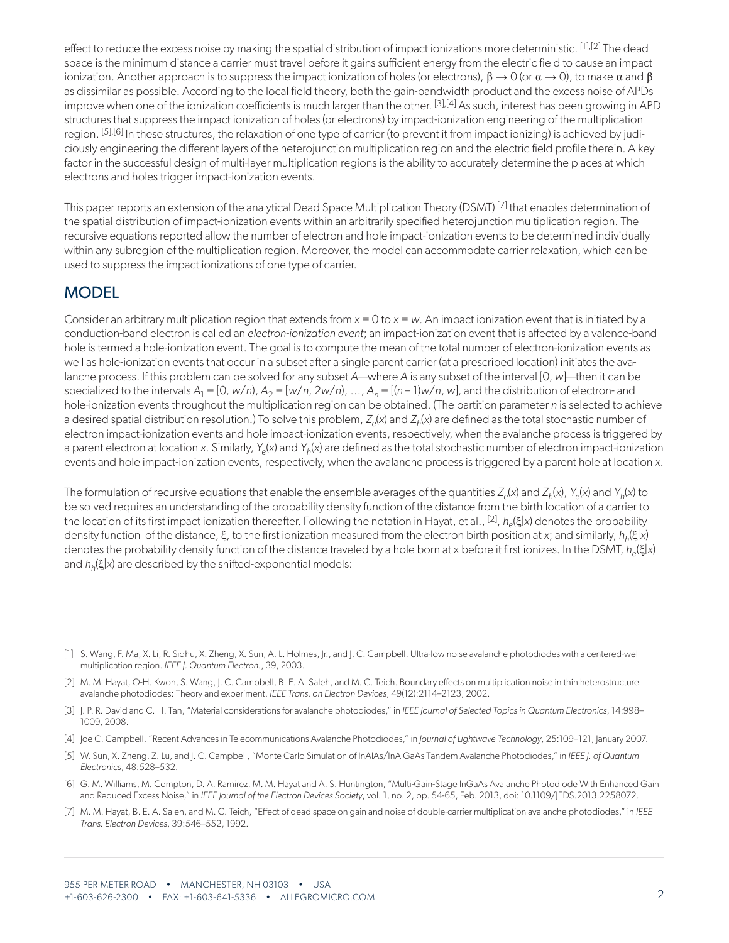effect to reduce the excess noise by making the spatial distribution of impact ionizations more deterministic. [\[1\]](#page-1-0),[\[2\]](#page-1-1) The dead space is the minimum distance a carrier must travel before it gains sufficient energy from the electric field to cause an impact ionization. Another approach is to suppress the impact ionization of holes (or electrons),  $\beta \to 0$  (or  $\alpha \to 0$ ), to make  $\alpha$  and  $\beta$ as dissimilar as possible. According to the local field theory, both the gain-bandwidth product and the excess noise of APDs improve when one of the ionization coefficients is much larger than the other. [\[3\]](#page-1-2)[,\[4\]](#page-1-3) As such, interest has been growing in APD structures that suppress the impact ionization of holes (or electrons) by impact-ionization engineering of the multiplication region. [\[5\]](#page-1-4),[\[6\]](#page-1-5) In these structures, the relaxation of one type of carrier (to prevent it from impact ionizing) is achieved by judiciously engineering the different layers of the heterojunction multiplication region and the electric field profile therein. A key factor in the successful design of multi-layer multiplication regions is the ability to accurately determine the places at which electrons and holes trigger impact-ionization events.

This paper reports an extension of the analytical Dead Space Multiplication Theory (DSMT) [\[7\]](#page-1-6) that enables determination of the spatial distribution of impact-ionization events within an arbitrarily specified heterojunction multiplication region. The recursive equations reported allow the number of electron and hole impact-ionization events to be determined individually within any subregion of the multiplication region. Moreover, the model can accommodate carrier relaxation, which can be used to suppress the impact ionizations of one type of carrier.

### **MODEL**

Consider an arbitrary multiplication region that extends from *x* = 0 to *x* = *w*. An impact ionization event that is initiated by a conduction-band electron is called an *electron-ionization event*; an impact-ionization event that is affected by a valence-band hole is termed a hole-ionization event. The goal is to compute the mean of the total number of electron-ionization events as well as hole-ionization events that occur in a subset after a single parent carrier (at a prescribed location) initiates the avalanche process. If this problem can be solved for any subset *A*—where *A* is any subset of the interval [0, *w*]—then it can be specialized to the intervals  $A_1 = [0, w/n, A_2 = [w/n, 2w/n], ..., A_n = [(n-1)w/n, w]$ , and the distribution of electron- and hole-ionization events throughout the multiplication region can be obtained. (The partition parameter *n* is selected to achieve a desired spatial distribution resolution.) To solve this problem,  $Z_e(x)$  and  $Z_h(x)$  are defined as the total stochastic number of electron impact-ionization events and hole impact-ionization events, respectively, when the avalanche process is triggered by a parent electron at location *x*. Similarly, *Ye*(*x*) and *Yh*(*x*) are defined as the total stochastic number of electron impact-ionization events and hole impact-ionization events, respectively, when the avalanche process is triggered by a parent hole at location *x*.

The formulation of recursive equations that enable the ensemble averages of the quantities  $Z_e(x)$  and  $Z_h(x)$ ,  $Y_e(x)$  and  $Y_h(x)$  to be solved requires an understanding of the probability density function of the distance from the birth location of a carrier to the location of its first impact ionization thereafter. Following the notation in Hayat, et al., [\[2\],](#page-1-1) *he*(ξ|*x*) denotes the probability density function of the distance, ξ, to the first ionization measured from the electron birth position at *x*; and similarly, *hh*(ξ|*x*) denotes the probability density function of the distance traveled by a hole born at x before it first ionizes. In the DSMT, *he*(ξ|*x*) and *hh*(ξ|*x*) are described by the shifted-exponential models:

- <span id="page-1-0"></span>[1] S. Wang, F. Ma, X. Li, R. Sidhu, X. Zheng, X. Sun, A. L. Holmes, |r., and |. C. Campbell. Ultra-low noise avalanche photodiodes with a centered-well multiplication region. *IEEE J. Quantum Electron.*, 39, 2003.
- <span id="page-1-1"></span>[2] M. M. Hayat, O-H. Kwon, S. Wang, J. C. Campbell, B. E. A. Saleh, and M. C. Teich. Boundary effects on multiplication noise in thin heterostructure avalanche photodiodes: Theory and experiment. *IEEE Trans. on Electron Devices*, 49(12):2114–2123, 2002.
- <span id="page-1-2"></span>[3] J. P. R. David and C. H. Tan, "Material considerations for avalanche photodiodes," in *IEEE Journal of Selected Topics in Quantum Electronics*, 14:998– 1009, 2008.
- <span id="page-1-3"></span>[4] Joe C. Campbell, "Recent Advances in Telecommunications Avalanche Photodiodes," in *Journal of Lightwave Technology*, 25:109–121, January 2007.
- <span id="page-1-4"></span>[5] W. Sun, X. Zheng, Z. Lu, and J. C. Campbell, "Monte Carlo Simulation of InAlAs/InAlGaAs Tandem Avalanche Photodiodes," in *IEEE J. of Quantum Electronics*, 48:528–532.
- <span id="page-1-5"></span>[6] G. M. Williams, M. Compton, D. A. Ramirez, M. M. Hayat and A. S. Huntington, "Multi-Gain-Stage InGaAs Avalanche Photodiode With Enhanced Gain and Reduced Excess Noise," in *IEEE Journal of the Electron Devices Society*, vol. 1, no. 2, pp. 54-65, Feb. 2013, doi: 10.1109/JEDS.2013.2258072.
- <span id="page-1-6"></span>[7] M. M. Hayat, B. E. A. Saleh, and M. C. Teich, "Effect of dead space on gain and noise of double-carrier multiplication avalanche photodiodes," in *IEEE Trans. Electron Devices*, 39:546–552, 1992.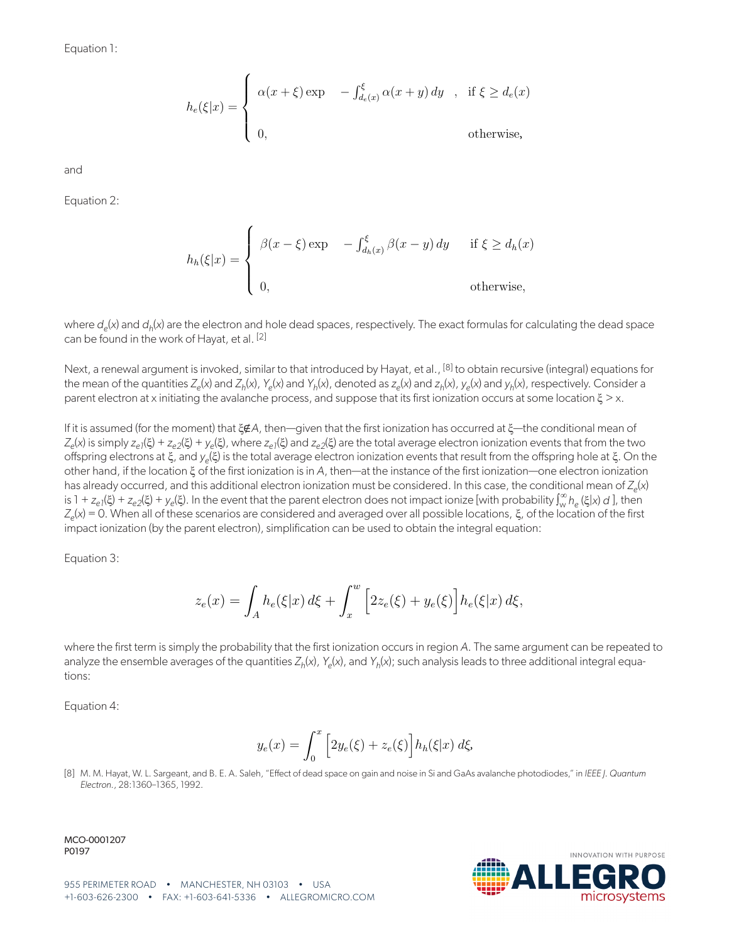$$
h_e(\xi|x) = \begin{cases} \alpha(x+\xi) \exp & -\int_{d_e(x)}^{\xi} \alpha(x+y) dy, & \text{if } \xi \ge d_e(x) \\ 0, & \text{otherwise,} \end{cases}
$$

and

Equation 2:

$$
h_h(\xi|x) = \begin{cases} \beta(x-\xi) \exp & -\int_{d_h(x)}^{\xi} \beta(x-y) dy & \text{if } \xi \ge d_h(x) \\ 0, & \text{otherwise,} \end{cases}
$$

where  $d_e(x)$  and  $d_h(x)$  are the electron and hole dead spaces, respectively. The exact formulas for calculating the dead space can be found in the work of Hayat, et al. [\[2\]](#page-1-1)

Next, a renewal argument is invoked, similar to that introduced by Hayat, et al., <sup>[8]</sup> to obtain recursive (integral) equations for the mean of the quantities  $Z_e(x)$  and  $Z_h(x)$ ,  $Y_e(x)$  and  $Y_h(x)$ , denoted as  $Z_e(x)$  and  $Z_h(x)$ ,  $Y_e(x)$  and  $Y_h(x)$ , respectively. Consider a parent electron at x initiating the avalanche process, and suppose that its first ionization occurs at some location ξ > x.

If it is assumed (for the moment) that ξ∉*A*, then—given that the first ionization has occurred at ξ—the conditional mean of *Z<sub>e</sub>*(x) is simply *z<sub>e1</sub>*(ξ) + *z<sub>e2</sub>*(ξ) + *y<sub>e</sub>*(ξ), where *z<sub>e1</sub>*(ξ) and *z<sub>e2</sub>*(ξ) are the total average electron ionization events that from the two offspring electrons at ξ, and *ye*(ξ) is the total average electron ionization events that result from the offspring hole at ξ. On the other hand, if the location ξ of the first ionization is in *A*, then—at the instance of the first ionization—one electron ionization has already occurred, and this additional electron ionization must be considered. In this case, the conditional mean of  $Z_e(x)$ is 1 +  $z_{e1}(\xi)$  +  $z_{e2}(\xi)$  +  $y_{e}(\xi)$ . In the event that the parent electron does not impact ionize [with probability  $\int_{w}^{\infty} h_{e}(\xi|x) d\zeta$ ], then *Ze*(*x*) = 0. When all of these scenarios are considered and averaged over all possible locations, ξ, of the location of the first impact ionization (by the parent electron), simplification can be used to obtain the integral equation:

Equation 3:

<span id="page-2-1"></span>
$$
z_e(x) = \int_A h_e(\xi|x) \, d\xi + \int_x^w \left[2z_e(\xi) + y_e(\xi)\right] h_e(\xi|x) \, d\xi,
$$

where the first term is simply the probability that the first ionization occurs in region *A*. The same argument can be repeated to analyze the ensemble averages of the quantities  $Z_h(x)$ ,  $Y_e(x)$ , and  $Y_h(x)$ ; such analysis leads to three additional integral equations:

Equation 4:

<span id="page-2-2"></span>
$$
y_e(x) = \int_0^x \left[ 2y_e(\xi) + z_e(\xi) \right] h_h(\xi|x) \, d\xi,
$$

<span id="page-2-0"></span>[8] M. M. Hayat, W. L. Sargeant, and B. E. A. Saleh, "Effect of dead space on gain and noise in Si and GaAs avalanche photodiodes," in *IEEE J. Quantum Electron.*, 28:1360–1365, 1992.

MCO-0001207 P0197



**INOVATION WITH PURPOSE**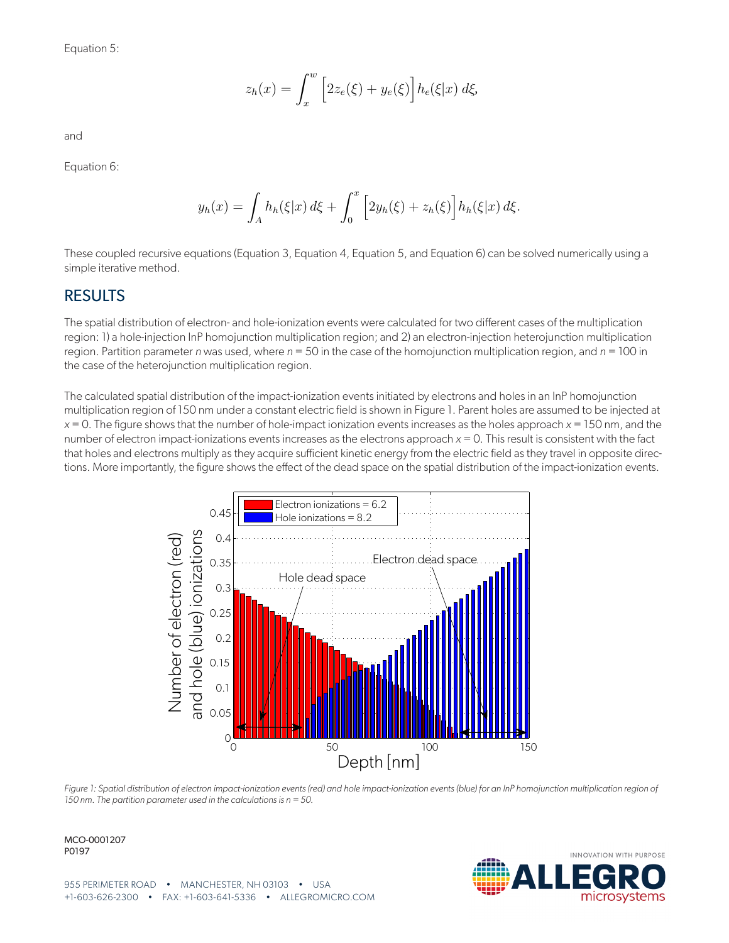Equation 5:

<span id="page-3-0"></span>
$$
z_h(x) = \int_x^w \left[2z_e(\xi) + y_e(\xi)\right] h_e(\xi|x) d\xi,
$$

and

Equation 6:

<span id="page-3-1"></span>
$$
y_h(x) = \int_A h_h(\xi|x) \, d\xi + \int_0^x \left[ 2y_h(\xi) + z_h(\xi) \right] h_h(\xi|x) \, d\xi.
$$

These coupled recursive equations ([Equation 3,](#page-2-1) [Equation 4,](#page-2-2) [Equation 5](#page-3-0), and [Equation 6](#page-3-1)) can be solved numerically using a simple iterative method.

#### **RESULTS**

The spatial distribution of electron- and hole-ionization events were calculated for two different cases of the multiplication region: 1) a hole-injection InP homojunction multiplication region; and 2) an electron-injection heterojunction multiplication region. Partition parameter *n* was used, where *n* = 50 in the case of the homojunction multiplication region, and *n* = 100 in the case of the heterojunction multiplication region.

The calculated spatial distribution of the impact-ionization events initiated by electrons and holes in an InP homojunction multiplication region of 150 nm under a constant electric field is shown in [Figure 1](#page-3-2). Parent holes are assumed to be injected at *x* = 0. The figure shows that the number of hole-impact ionization events increases as the holes approach *x* = 150 nm, and the number of electron impact-ionizations events increases as the electrons approach *x* = 0. This result is consistent with the fact that holes and electrons multiply as they acquire sufficient kinetic energy from the electric field as they travel in opposite directions. More importantly, the figure shows the effect of the dead space on the spatial distribution of the impact-ionization events.



<span id="page-3-2"></span>

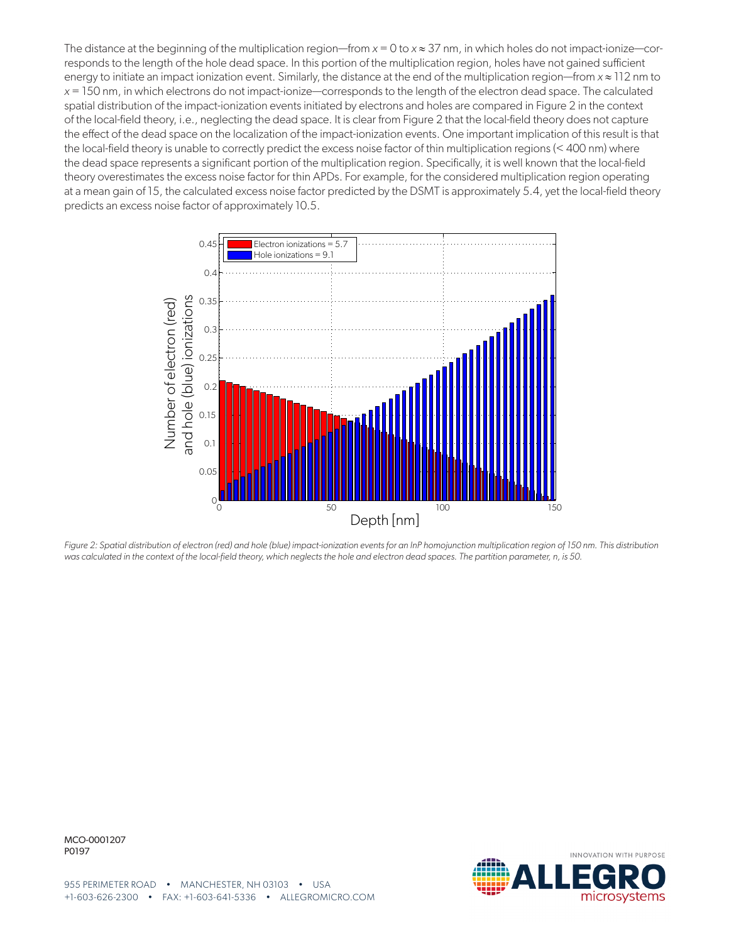The distance at the beginning of the multiplication region—from  $x = 0$  to  $x \approx 37$  nm, in which holes do not impact-ionize—corresponds to the length of the hole dead space. In this portion of the multiplication region, holes have not gained sufficient energy to initiate an impact ionization event. Similarly, the distance at the end of the multiplication region—from *x* ≈ 112 nm to *x* = 150 nm, in which electrons do not impact-ionize—corresponds to the length of the electron dead space. The calculated spatial distribution of the impact-ionization events initiated by electrons and holes are compared in Figure 2 in the context of the local-field theory, i.e., neglecting the dead space. It is clear from Figure 2 that the local-field theory does not capture the effect of the dead space on the localization of the impact-ionization events. One important implication of this result is that the local-field theory is unable to correctly predict the excess noise factor of thin multiplication regions (< 400 nm) where the dead space represents a significant portion of the multiplication region. Specifically, it is well known that the local-field theory overestimates the excess noise factor for thin APDs. For example, for the considered multiplication region operating at a mean gain of 15, the calculated excess noise factor predicted by the DSMT is approximately 5.4, yet the local-field theory predicts an excess noise factor of approximately 10.5.



*Figure 2: Spatial distribution of electron (red) and hole (blue) impact-ionization events for an InP homojunction multiplication region of 150 nm. This distribution was calculated in the context of the local-field theory, which neglects the hole and electron dead spaces. The partition parameter, n, is 50.*

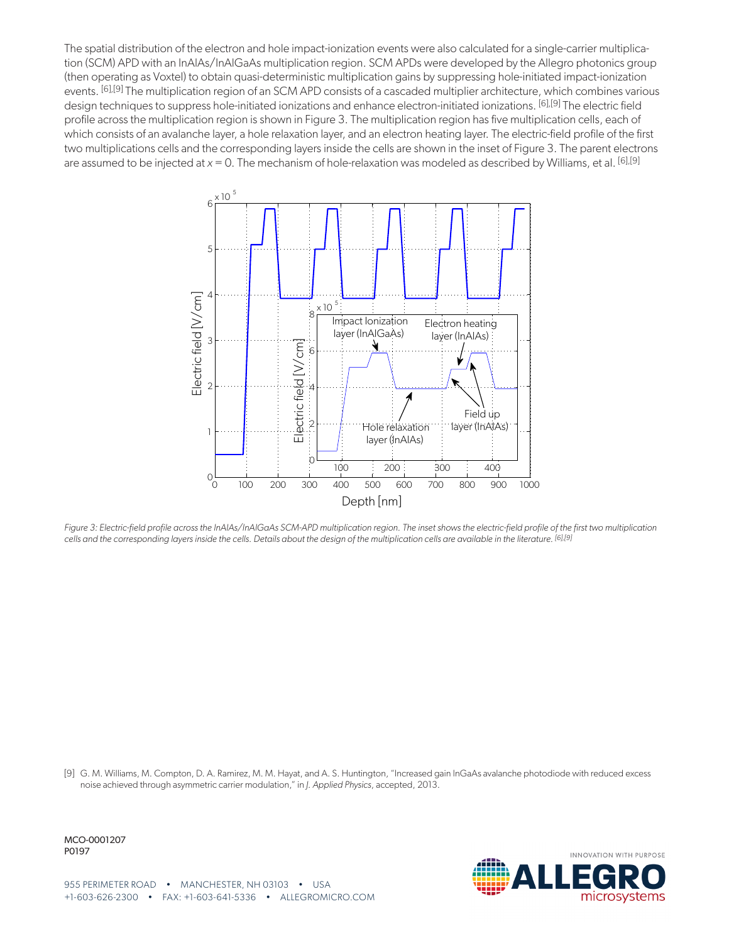The spatial distribution of the electron and hole impact-ionization events were also calculated for a single-carrier multiplication (SCM) APD with an InAlAs/InAlGaAs multiplication region. SCM APDs were developed by the Allegro photonics group (then operating as Voxtel) to obtain quasi-deterministic multiplication gains by suppressing hole-initiated impact-ionization events. [\[6\]](#page-1-5)[,\[9\]](#page-5-0) The multiplication region of an SCM APD consists of a cascaded multiplier architecture, which combines various design techniques to suppress hole-initiated ionizations and enhance electron-initiated ionizations. [\[6\],](#page-1-5)[\[9\]](#page-5-0) The electric field profile across the multiplication region is shown in Figure 3. The multiplication region has five multiplication cells, each of which consists of an avalanche layer, a hole relaxation layer, and an electron heating layer. The electric-field profile of the first two multiplications cells and the corresponding layers inside the cells are shown in the inset of Figure 3. The parent electrons are assumed to be injected at *x* = 0. The mechanism of hole-relaxation was modeled as described by Williams, et al. [\[6\]](#page-1-5),[\[9\]](#page-5-0)



*Figure 3: Electric-field profile across the InAlAs/InAlGaAs SCM-APD multiplication region. The inset shows the electric-field profile of the first two multiplication cells and the corresponding layers inside the cells. Details about the design of the multiplication cells are available in the literature. [\[6\],](#page-1-5)[\[9\]](#page-5-0)*

<span id="page-5-0"></span>[9] G. M. Williams, M. Compton, D. A. Ramirez, M. M. Hayat, and A. S. Huntington, "Increased gain InGaAs avalanche photodiode with reduced excess noise achieved through asymmetric carrier modulation," in *J. Applied Physics*, accepted, 2013.

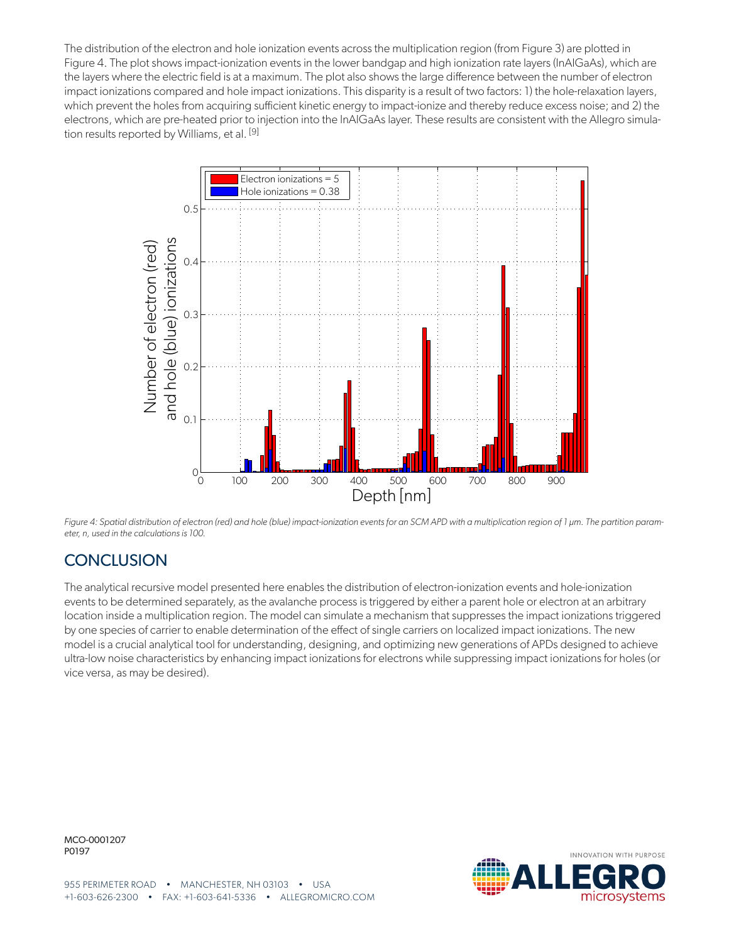The distribution of the electron and hole ionization events across the multiplication region (from Figure 3) are plotted in [Figure 4](#page-6-0). The plot shows impact-ionization events in the lower bandgap and high ionization rate layers (InAlGaAs), which are the layers where the electric field is at a maximum. The plot also shows the large difference between the number of electron impact ionizations compared and hole impact ionizations. This disparity is a result of two factors: 1) the hole-relaxation layers, which prevent the holes from acquiring sufficient kinetic energy to impact-ionize and thereby reduce excess noise; and 2) the electrons, which are pre-heated prior to injection into the InAlGaAs layer. These results are consistent with the Allegro simulation results reported by Williams, et al. [\[9\]](#page-5-0)



<span id="page-6-0"></span>Figure 4: Spatial distribution of electron (red) and hole (blue) impact-ionization events for an SCM APD with a multiplication region of 1 µm. The partition param*eter, n, used in the calculations is 100.*

### **CONCLUSION**

The analytical recursive model presented here enables the distribution of electron-ionization events and hole-ionization events to be determined separately, as the avalanche process is triggered by either a parent hole or electron at an arbitrary location inside a multiplication region. The model can simulate a mechanism that suppresses the impact ionizations triggered by one species of carrier to enable determination of the effect of single carriers on localized impact ionizations. The new model is a crucial analytical tool for understanding, designing, and optimizing new generations of APDs designed to achieve ultra-low noise characteristics by enhancing impact ionizations for electrons while suppressing impact ionizations for holes (or vice versa, as may be desired).